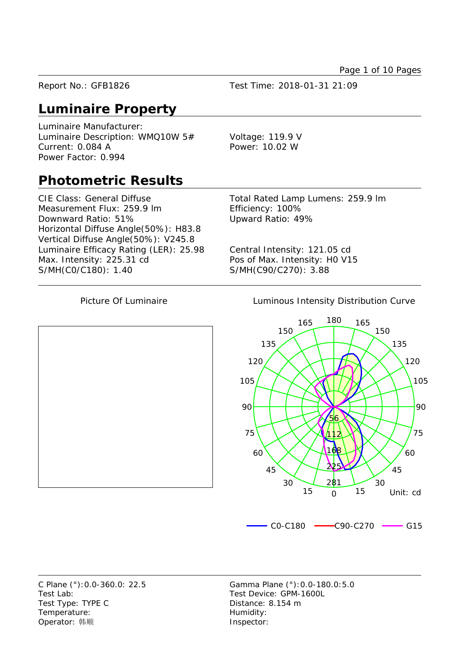Report No.: GFB1826 Test Time: 2018-01-31 21:09

# **Luminaire Property**

Luminaire Manufacturer: Luminaire Description: WMQ10W 5# Voltage: 119.9 V Current: 0.084 A Power: 10.02 W Power Factor: 0.994

## **Photometric Results**

CIE Class: General Diffuse Total Rated Lamp Lumens: 259.9 lm Measurement Flux: 259.9 lm Efficiency: 100% Downward Ratio: 51% Upward Ratio: 49% Horizontal Diffuse Angle(50%): H83.8 Vertical Diffuse Angle(50%): V245.8 Luminaire Efficacy Rating (LER): 25.98 Central Intensity: 121.05 cd Max. Intensity: 225.31 cd Pos of Max. Intensity: H0 V15 S/MH(C0/C180): 1.40 S/MH(C90/C270): 3.88

Picture Of Luminaire **Luminous Intensity Distribution Curve** 



Test Lab: Test Device: GPM-1600L Test Type: TYPE C Distance: 8.154 m Temperature: Temperature: Operator: 韩顺 **Inspector:** 

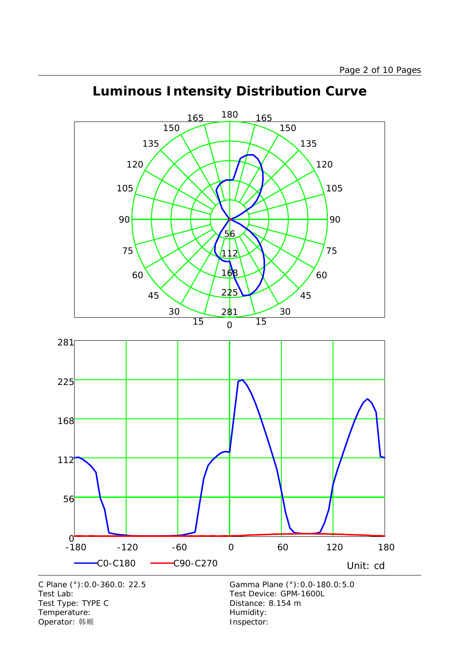

# **Luminous Intensity Distribution Curve**

 -180 -120 -60 0 60 120 180  $0 - 180$ C0-C180 C90-C270 Unit: cd C Plane (°):0.0-360.0: 22.5 Gamma Plane (°):0.0-180.0:5.0 Test Lab:<br>
Test Type: TYPE C<br>
Test Type: TYPE C<br>
Test Type: TYPE C<br>
Test Type: TYPE C Test Type: TYPE C Temperature: Temperature: Temperature: Operator: 韩顺 **Inspector:**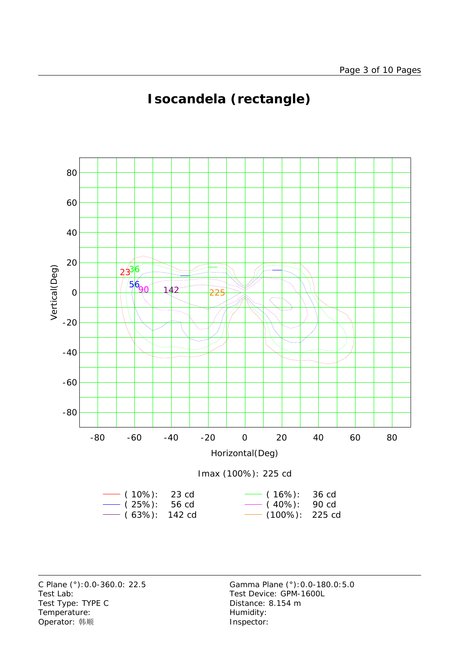

# **Isocandela (rectangle)**



Test Lab: Test Device: GPM-1600L Test Type: TYPE C Distance: 8.154 m Temperature: Temperature: Temperature: Operator: 韩顺 **Inspector:**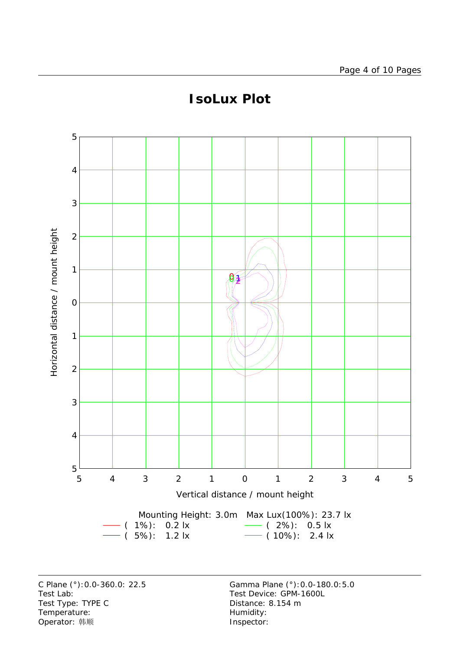

# **IsoLux Plot**

Test Lab:<br>
Test Type: TYPE C<br>
Test Type: TYPE C<br>
Test Type: TYPE C<br>
Test Type: TYPE C Test Type: TYPE C Temperature: Temperature: Temperature: Operator: 韩顺 **Inspector:**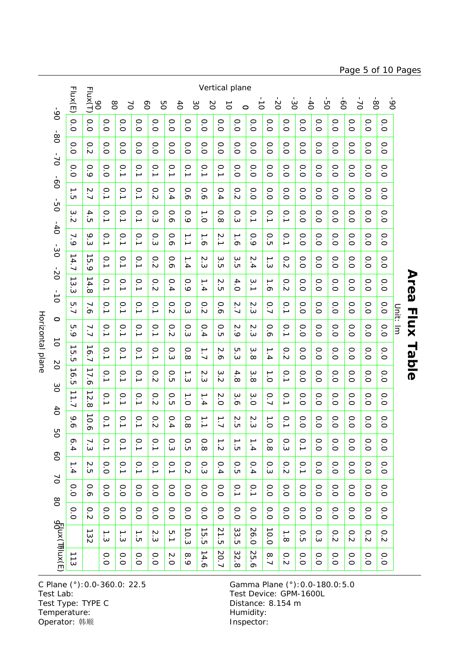Horizontal plane Horizontal plane

|                                            | Flux(E)                             | Vertical plane<br>Flux(T)<br>ģ-<br>$\overline{0}$<br>6 <sup>o</sup><br>$\delta$<br>$\frac{1}{\circ}$<br>$\ddot{d}$<br>$\overset{\circ}{\circ}$<br>$\overline{C}$<br>$\infty$<br>$\geq$<br>80<br>SO<br>8O<br>2O<br>$\sum$<br>$\overline{6}$<br>δg<br>$\vec{o}$<br>$\circ$ |                                     |                  |                          |                                       |                  |                                     |                                        |                            |                                     |                             |                        |                                |                         |                  |              |                |                |              |          |              |
|--------------------------------------------|-------------------------------------|--------------------------------------------------------------------------------------------------------------------------------------------------------------------------------------------------------------------------------------------------------------------------|-------------------------------------|------------------|--------------------------|---------------------------------------|------------------|-------------------------------------|----------------------------------------|----------------------------|-------------------------------------|-----------------------------|------------------------|--------------------------------|-------------------------|------------------|--------------|----------------|----------------|--------------|----------|--------------|
| 6 <sup>o</sup>                             | 0.0                                 | 0.0                                                                                                                                                                                                                                                                      | 0.0                                 | 0.0              | 0.0                      | O.O                                   | 0.0              | 0.0                                 | $\overline{O}$                         | O.O                        | 0.0                                 | O.O                         | 0.0                    | 0.0                            | 0.0                     | 0.0              | 0.0          | 0.0            | O.0            | O.O          |          |              |
| $\frac{6}{90}$<br>$\sim$<br>$\overline{0}$ | O.O                                 | 0.2                                                                                                                                                                                                                                                                      | O.0                                 | 0.0              | O.O                      | 0.0                                   | O.O              | O.O                                 | O.0                                    | 0.0                        | O.O                                 | O.O                         | 0.0                    | O.O                            | O.O                     | 0.0              | O.0          | 0.0            | 0.0            | O.O          |          |              |
|                                            | $\circ$<br>ö                        | 0.9                                                                                                                                                                                                                                                                      | O.0                                 | 0.1              | 0.1                      | 0.1                                   | $\overline{0}$ . | $\circ$<br>$\overline{\phantom{a}}$ | $\overline{0}$ .                       | $\overline{0}$ .           | 0.0                                 | O.O                         | 0.0                    | O.0                            | 0.0                     | O.0              | O.0          | O.0            | O.0            | O.O          |          |              |
|                                            | →<br>$\sigma$                       | 2.7                                                                                                                                                                                                                                                                      | $\overline{0}$ .                    | $\overline{0}$ . | $\overline{0}$ .         | 0.2                                   | 0.4              | 0.6                                 | 0.6                                    | 0.4                        | 0.2                                 | O.0                         | O. O                   | O.0                            | O.0                     | O.0              | O.0          | O.0            | O.0            | O.0          |          |              |
| ģ                                          | $\omega$<br>Ń                       | 4.5                                                                                                                                                                                                                                                                      | $\overline{0}$ .                    | 0.1              | $\overline{0}$ .         | O.3                                   | 0.6              | 0.9                                 | $\frac{1}{\circ}$                      | 0.8                        | o.3                                 | 0.1                         | $\overline{0}$ .       | 0.1                            | O.0                     | O.O              | O.0          | O.0            | O.0            | O.O          |          |              |
| $-40$                                      | ┙<br>$\dot{\circ}$                  | 9.3                                                                                                                                                                                                                                                                      | 0.1                                 | 0.1              | 0.1                      | O.3                                   | 0.6              | $\frac{1}{2}$                       | $\frac{1}{6}$                          | $\overline{2}.1$           | $\frac{1}{6}$                       | 0.9                         | O.5                    | 0.1                            | $\overline{O}$          | O.O              | O.0          | 0.0            | $\overline{O}$ | 0.0          |          |              |
| $-30$                                      | →<br> 4.7                           | $\vec{5}$<br>ة                                                                                                                                                                                                                                                           | 0.1                                 | $\overline{0}$ . | $\overline{0}$ .         | 0.2                                   | 0.6              | 1.4                                 | $\overline{M}$<br>نی                   | $\omega$<br>$\overline{c}$ | $\omega$<br>$\overline{\mathsf{c}}$ | 2.4                         | $\frac{1}{3}$          | 0.2                            | O.0                     | 0.0              | O.O          | O.0            | O.0            | 0.0          |          |              |
| $-20$<br>$\frac{1}{\circ}$<br>$\circ$      | ∸<br>$\omega$<br>$\omega$           | →<br>$\overline{4}$<br>$\infty$                                                                                                                                                                                                                                          | 0.1                                 | $\overline{0}$ . | $\overline{0}$ .         | 0.2                                   | 0.4              | 0.9                                 | $\overline{\phantom{0}}$<br>≒          | $\sim$<br>ŌП               | 4.0                                 | $\ddot{\bm{\omega}}$<br>∸   | $\frac{1}{6}$          | 0.2                            | O.0                     | O.0              | O.0          | $\overline{O}$ | O.0            | O.O          |          | Area         |
|                                            | 5.7                                 | 7.6                                                                                                                                                                                                                                                                      | 0.1                                 | 0.1              | $\overline{0}$ .         | $\overline{0}$ .                      | 0.2              | $0.\overline{3}$                    | 0.2                                    | 0.6                        | 2.7                                 | $\tilde{\mathcal{L}}$<br>نہ | 0.7                    | 0.1                            | O.0                     | O.0              | O.0          | O.0            | O.0            | O. O         |          |              |
|                                            | U<br>ە                              | 7.7                                                                                                                                                                                                                                                                      | $\overline{0}$ .                    | 0.1              | $\overline{0}$ .         | 0.1                                   | 0.2              | С.3                                 | 0.4                                    | $\circ$<br>òп              | 2.9                                 | $\sim$<br>نہ                | 0.6                    | $\overline{0}$ .               | O.0                     | O.0              | O.0          | $\overline{O}$ | $\overline{O}$ | 0.0          | Unit: Im | <b>Flux</b>  |
| $\vec{o}$<br>b <sub>2</sub>                | ∸<br>СT<br>ÒЛ                       | $\overline{\phantom{a}}$<br>6.7                                                                                                                                                                                                                                          | $\overline{0}$ .                    | $\rm \odot$<br>→ | 0.1                      | 0.1                                   | 0.3              | $\circ$<br>$\infty$                 | $\overline{1}$                         | 2.6                        | ĊЧ<br>نی                            | $\omega$<br>$\infty$        | 1.4                    | 0.2                            | O.0                     | O.O              | O.O          | O.0            | O.0            | 0.0          |          | <b>Table</b> |
| $\infty$                                   | ∸<br>$\sigma$<br>C                  | ∸<br>$\mathbf{r}$<br>$\sigma$                                                                                                                                                                                                                                            | $\overline{0}$ .                    | 0.1              | $\overline{0}$ .         | 0.2                                   | 0.5              | د :<br>ده                           | $\sim$<br>نی                           | ω<br>$\sim$                | 4.<br>$\infty$                      | $\omega$<br>$\infty$        | $\frac{1}{\circ}$      | 0.1                            | O.0                     | O.0              | O.0          | O.0            | O.0            | O.0          |          |              |
| 6 <sup>4</sup>                             | $\overrightarrow{\phantom{a}}$<br>7 | $\vec{z}$<br>$\infty$                                                                                                                                                                                                                                                    | $\overline{0}$ .                    | 0.1              | 0.1                      | 0.2                                   | О.<br>Ю          | $\frac{1}{\circ}$                   | 1.4                                    | $\frac{2}{0}$              | 3.6                                 | 3.O                         | 0.7                    | 0.1                            | O.0                     | O.0              | O.0          | O.0            | O.0            | O.0          |          |              |
| 9g                                         | ∘<br>ᡋ                              | 10.6                                                                                                                                                                                                                                                                     | $\circ$<br>$\overline{\phantom{a}}$ | $\circ$<br>د     | $\circ$<br>$\rightarrow$ | $\circ$<br>$\sim$                     | $\circ$<br>4     | $\circ$<br>$\infty$                 | $\rightharpoonup$<br>$\rightarrow$     | →<br>┙                     | $\sim$<br>'n                        | $\mathop{\mathsf{N}}$<br>نى | $\rightharpoonup$<br>ö | $\circ$<br>$\rightarrow$       | $\circ$<br>ö            | $\circ$<br>ö     | $\circ$<br>ö | $\circ$<br>ö   | $\circ$<br>ö   | $\circ$<br>ö |          |              |
| SO                                         | $\circ$<br>$\rightarrow$            | 7.3                                                                                                                                                                                                                                                                      | $\overline{0}$ .1                   | 0.1              | 0.1                      | $\overline{0}$                        | O.3              | O.5                                 | 0.8                                    | $\frac{1}{2}$              | $\frac{1}{\Omega}$                  | 1.4                         | 0.8                    | O.3                            | 0.1                     | O.O              | O.O          | O.O            | O.O            | O.O          |          |              |
| $\geq$                                     | →<br>4                              | $\sim$<br>$\overline{\mathsf{c}}$                                                                                                                                                                                                                                        | O.O                                 | $\overline{0}$ . | $\overline{0}$ .         | 0.1                                   | $\overline{0}$ . | 0.2                                 | o.3                                    | 0.4                        | O.5                                 | 0.4                         | 0.3                    | 0.2                            | $\overline{0}$ .        | O. O             | O.0          | O.0            | O.0            | O.0          |          |              |
| 80                                         | $\circ$<br>ö                        | 0.6                                                                                                                                                                                                                                                                      | O.O                                 | O.0              | O.0                      | O.O                                   | O.0              | O.0                                 | O.O                                    | O.O                        | $\overline{0}$ .                    | $\overline{0}$ .            | O.O                    | O.O                            | O.0                     | O.O              | O.0          | O.0            | O.O            | O.0          |          |              |
|                                            | 0.0                                 | 0.2                                                                                                                                                                                                                                                                      | O.O                                 | O.O              | O.0                      | O.O                                   | O.O              | O.O                                 | O.O                                    | O.O                        | O.0                                 | O.O                         | O.O                    | O.O                            | O.O                     | O.O              | O.0          | O.O            | O.0            | O.O          |          |              |
|                                            |                                     | $\overline{\phantom{0}}$<br>32                                                                                                                                                                                                                                           | د :<br>د                            | د<br>$\omega$    | →<br>CΠ                  | $\boldsymbol{\mathsf{N}}$<br>$\omega$ | U<br>L           | 10.3                                | $\frac{1}{\sqrt{2}}$<br>$\overline{c}$ | 21<br>$\mathbf{\dot{G}}$   | $\omega$<br>ς.<br>Ε                 | 26.0                        | 10.0                   | $\overline{\cdot}$<br>$\infty$ | $\rm \circ$<br>$\sigma$ | $0.\overline{3}$ | 0.2          | 0.2            | 0.2            | 0.2          |          |              |
| d σκι (Thux(E)                             | 113                                 |                                                                                                                                                                                                                                                                          | O.O                                 | O.O              | O.O                      | O.0                                   | 2.0              | 8.9                                 | 14.6                                   | 20.7                       | 32.<br>$^{\circ}$                   | 25.<br>ᡐ                    | $\overline{6.7}$       | 0.2                            | O.O                     | O.O              | O.0          | $\overline{O}$ | O.O            | O.O          |          |              |

Test Lab: Test Device: GPM-1600L Test Type: TYPE C<br>Test Type: TYPE C Distance: 8.154 m Temperature: We are the more than the Humidity:<br>
Operator: 韩顺 Network: This are the Museum of the Museo of the Museo of the Museo of the Museo of the Museo of the Museo of the Museo of the Museo of the Museo of the Museo Operator: 韩顺

C Plane (°):0.0-360.0: 22.5 Gamma Plane (°):0.0-180.0:5.0

### Page 5 of 10 Pages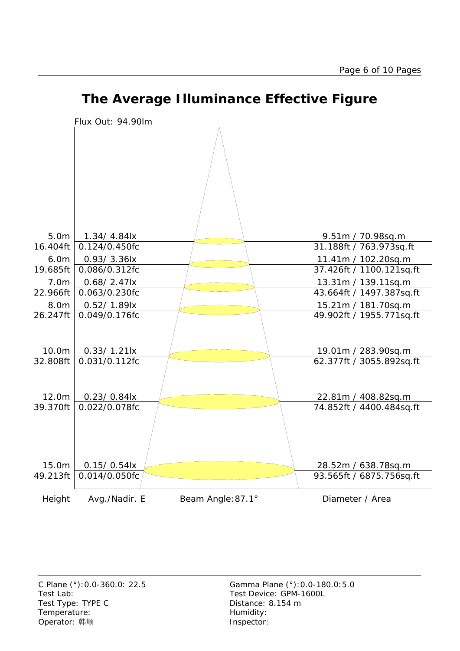



# **The Average Illuminance Effective Figure**

Test Lab: Test Device: GPM-1600L Test Type: TYPE C Distance: 8.154 m Temperature: Temperature: Temperature: Operator: 韩顺 **Inspector:**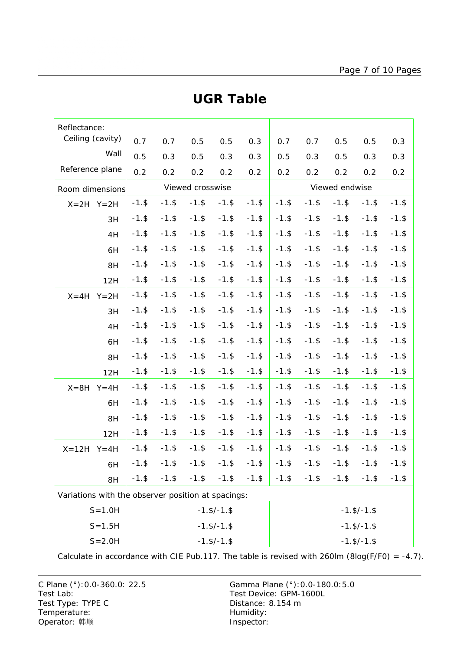| Reflectance:                                       |          |          |                  |                    |          |                    |          |          |          |          |  |  |
|----------------------------------------------------|----------|----------|------------------|--------------------|----------|--------------------|----------|----------|----------|----------|--|--|
| Ceiling (cavity)                                   | 0.7      | 0.7      | 0.5              | 0.5                | 0.3      | 0.7                | 0.7      | 0.5      | 0.5      | 0.3      |  |  |
| Wall                                               | 0.5      | 0.3      | 0.5              | 0.3                | 0.3      | 0.5                | 0.3      | 0.5      | 0.3      | 0.3      |  |  |
| Reference plane                                    | 0.2      | 0.2      | 0.2              | 0.2                | 0.2      | 0.2                | 0.2      | 0.2      | 0.2      | 0.2      |  |  |
| Room dimensions                                    |          |          | Viewed crosswise |                    |          | Viewed endwise     |          |          |          |          |  |  |
| $X=2H$ $Y=2H$                                      | $-1.$ \$ | $-1.$ \$ | $-1.$ \$         | $-1.$ \$           | $-1.$ \$ | $-1.$ \$           | $-1.$ \$ | $-1.$ \$ | $-1.$ \$ | $-1.$ \$ |  |  |
| 3H                                                 | $-1.$ \$ | $-1.$ \$ | $-1.$ \$         | $-1.$ \$           | $-1.$ \$ | $-1.$ \$           | $-1.$ \$ | $-1.$ \$ | $-1.$ \$ | $-1.$ \$ |  |  |
| 4H                                                 | $-1.$ \$ | $-1.$ \$ | $-1.$ \$         | $-1.$ \$           | $-1.$ \$ | $-1.$ \$           | $-1.$ \$ | $-1.$ \$ | $-1.$ \$ | $-1.$ \$ |  |  |
| 6H                                                 | $-1.$ \$ | $-1.$ \$ | $-1.$ \$         | $-1.$ \$           | $-1.$ \$ | $-1.$ \$           | $-1.$ \$ | $-1.$ \$ | $-1.$ \$ | $-1.$ \$ |  |  |
| 8H                                                 | $-1.$ \$ | $-1.$ \$ | $-1.$ \$         | $-1.$ \$           | $-1.$ \$ | $-1.$ \$           | $-1.$ \$ | $-1.$ \$ | $-1.$ \$ | $-1.$ \$ |  |  |
| 12H                                                | $-1.$ \$ | $-1.$ \$ | $-1.$ \$         | $-1.$ \$           | $-1.$ \$ | $-1.$ \$           | $-1.$ \$ | $-1.$ \$ | $-1.$ \$ | $-1.$ \$ |  |  |
| $Y = 2H$<br>$X = 4H$                               | $-1.$ \$ | $-1.$ \$ | $-1.$ \$         | $-1.$ \$           | $-1.$ \$ | $-1.$ \$           | $-1.$ \$ | $-1.$ \$ | $-1.$ \$ | $-1.$ \$ |  |  |
| 3H                                                 | $-1.$ \$ | $-1.$ \$ | $-1.$ \$         | $-1.$ \$           | $-1.$ \$ | $-1.$ \$           | $-1.$ \$ | $-1.$ \$ | $-1.$ \$ | $-1.$ \$ |  |  |
| 4H                                                 | $-1.$ \$ | $-1.$ \$ | $-1.$ \$         | $-1.$ \$           | $-1.$ \$ | $-1.$ \$           | $-1.$ \$ | $-1.$ \$ | $-1.$ \$ | $-1.$ \$ |  |  |
| 6H                                                 | $-1.$ \$ | $-1.$ \$ | $-1.$ \$         | $-1.$ \$           | $-1.$ \$ | $-1.$ \$           | $-1.$ \$ | $-1.$ \$ | $-1.$ \$ | $-1.$ \$ |  |  |
| 8H                                                 | $-1.$ \$ | $-1.$ \$ | $-1.$ \$         | $-1.$ \$           | $-1.$ \$ | $-1.$ \$           | $-1.$ \$ | $-1.$ \$ | $-1.$ \$ | $-1.$ \$ |  |  |
| 12H                                                | $-1.$ \$ | $-1.$ \$ | $-1.$ \$         | $-1.$ \$           | $-1.$ \$ | $-1.$ \$           | $-1.$ \$ | $-1.$ \$ | $-1.$ \$ | $-1.$ \$ |  |  |
| $X = 8H$<br>$Y = 4H$                               | $-1.$ \$ | $-1.$ \$ | $-1.$ \$         | $-1.$ \$           | $-1.$ \$ | $-1.$ \$           | $-1.$ \$ | $-1.$ \$ | $-1.$ \$ | $-1.$ \$ |  |  |
| 6H                                                 | $-1.$ \$ | $-1.$ \$ | $-1.$ \$         | $-1.$ \$           | $-1.$ \$ | $-1.$ \$           | $-1.$ \$ | $-1.$ \$ | $-1.$ \$ | $-1.$ \$ |  |  |
| 8H                                                 | $-1.$ \$ | $-1.$ \$ | $-1.$ \$         | $-1.$ \$           | $-1.$ \$ | $-1.$ \$           | $-1.$ \$ | $-1.$ \$ | $-1.$ \$ | $-1.$ \$ |  |  |
| 12H                                                | $-1.$ \$ | $-1.$ \$ | $-1.$ \$         | $-1.$ \$           | $-1.$ \$ | $-1.$ \$           | $-1.$ \$ | $-1.$ \$ | $-1.$ \$ | $-1.$ \$ |  |  |
| $X = 12H$<br>$Y = 4H$                              | $-1.$ \$ | $-1.$ \$ | $-1.$ \$         | $-1.$ \$           | $-1.$ \$ | $-1.$ \$           | $-1.$ \$ | $-1.$ \$ | $-1.$ \$ | $-1.$ \$ |  |  |
| 6H                                                 | $-1.$ \$ | $-1.$ \$ | $-1.$ \$         | $-1.$ \$           | $-1.$ \$ | $-1.$ \$           | $-1.$ \$ | $-1.$ \$ | $-1.$ \$ | $-1.$ \$ |  |  |
| 8H                                                 | $-1.$ \$ | $-1.$ \$ | $-1.$ \$         | $-1.$ \$           | $-1.$ \$ | $-1.$ \$           | $-1.$ \$ | $-1.$ \$ | $-1.$ \$ | $-1.$ \$ |  |  |
| Variations with the observer position at spacings: |          |          |                  |                    |          |                    |          |          |          |          |  |  |
| $S = 1.0H$                                         |          |          |                  | $-1.$ \$/ $-1.$ \$ |          | $-1.$ \$/ $-1.$ \$ |          |          |          |          |  |  |
| $S = 1.5H$                                         |          |          |                  | $-1.$ \$/ $-1.$ \$ |          | $-1.$ \$/ $-1.$ \$ |          |          |          |          |  |  |
| $S = 2.0H$                                         |          |          |                  | $-1.$ \$/ $-1.$ \$ |          | $-1.$ \$/ $-1.$ \$ |          |          |          |          |  |  |

### **UGR Table**

Calculate in accordance with CIE Pub.117. The table is revised with 260lm (8log(F/F0) = -4.7).

C Plane (°):0.0-360.0: 22.5 Gamma Plane (°):0.0-180.0:5.0 Test Lab: Test Device: GPM-1600L Test Type: TYPE C Distance: 8.154 m Temperature: Temperature: Temperature: Operator: 韩顺 **Inspector:**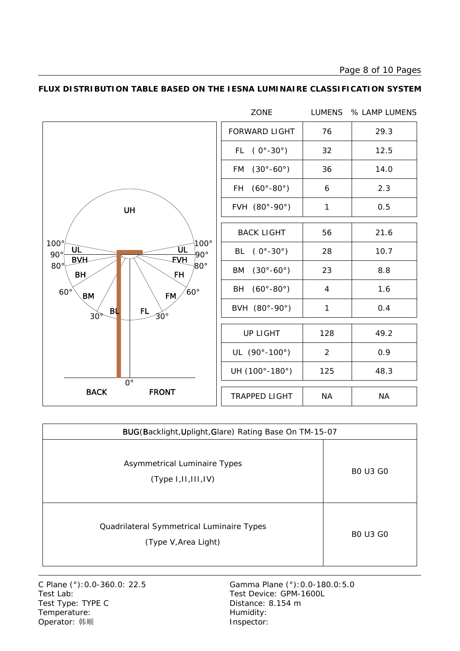Page 8 of 10 Pages



#### **FLUX DISTRIBUTION TABLE BASED ON THE IESNA LUMINAIRE CLASSIFICATION SYSTEM**

| BUG(Backlight, Uplight, Glare) Rating Base On TM-15-07            |                 |  |  |  |  |  |  |  |
|-------------------------------------------------------------------|-----------------|--|--|--|--|--|--|--|
| Asymmetrical Luminaire Types<br>(Type 1,11,111,1V)                | <b>BO U3 GO</b> |  |  |  |  |  |  |  |
| Quadrilateral Symmetrical Luminaire Types<br>(Type V, Area Light) | <b>BO U3 GO</b> |  |  |  |  |  |  |  |

Test Lab: Test Device: GPM-1600L Test Type: TYPE C Distance: 8.154 m Temperature: Temperature: Temperature: Operator: 韩顺 **Inspector:**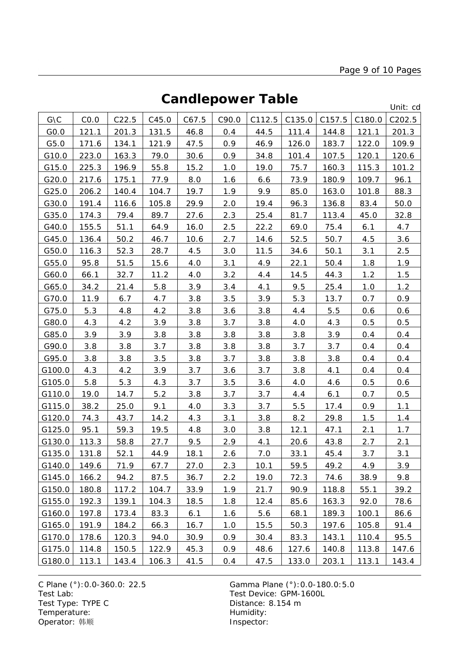# **Candlepower Table**

Unit: cd

|        |       |       |       |       |       |        |        |        |        | onna cu |
|--------|-------|-------|-------|-------|-------|--------|--------|--------|--------|---------|
| G\C    | CO.0  | C22.5 | C45.0 | C67.5 | C90.0 | C112.5 | C135.0 | C157.5 | C180.0 | C202.5  |
| GO.0   | 121.1 | 201.3 | 131.5 | 46.8  | 0.4   | 44.5   | 111.4  | 144.8  | 121.1  | 201.3   |
| G5.0   | 171.6 | 134.1 | 121.9 | 47.5  | 0.9   | 46.9   | 126.0  | 183.7  | 122.0  | 109.9   |
| G10.0  | 223.0 | 163.3 | 79.0  | 30.6  | 0.9   | 34.8   | 101.4  | 107.5  | 120.1  | 120.6   |
| G15.0  | 225.3 | 196.9 | 55.8  | 15.2  | 1.0   | 19.0   | 75.7   | 160.3  | 115.3  | 101.2   |
| G20.0  | 217.6 | 175.1 | 77.9  | 8.0   | 1.6   | 6.6    | 73.9   | 180.9  | 109.7  | 96.1    |
| G25.0  | 206.2 | 140.4 | 104.7 | 19.7  | 1.9   | 9.9    | 85.0   | 163.0  | 101.8  | 88.3    |
| G30.0  | 191.4 | 116.6 | 105.8 | 29.9  | 2.0   | 19.4   | 96.3   | 136.8  | 83.4   | 50.0    |
| G35.0  | 174.3 | 79.4  | 89.7  | 27.6  | 2.3   | 25.4   | 81.7   | 113.4  | 45.0   | 32.8    |
| G40.0  | 155.5 | 51.1  | 64.9  | 16.0  | 2.5   | 22.2   | 69.0   | 75.4   | 6.1    | 4.7     |
| G45.0  | 136.4 | 50.2  | 46.7  | 10.6  | 2.7   | 14.6   | 52.5   | 50.7   | 4.5    | 3.6     |
| G50.0  | 116.3 | 52.3  | 28.7  | 4.5   | 3.0   | 11.5   | 34.6   | 50.1   | 3.1    | 2.5     |
| G55.0  | 95.8  | 51.5  | 15.6  | 4.0   | 3.1   | 4.9    | 22.1   | 50.4   | 1.8    | 1.9     |
| G60.0  | 66.1  | 32.7  | 11.2  | 4.0   | 3.2   | 4.4    | 14.5   | 44.3   | 1.2    | 1.5     |
| G65.0  | 34.2  | 21.4  | 5.8   | 3.9   | 3.4   | 4.1    | 9.5    | 25.4   | 1.0    | 1.2     |
| G70.0  | 11.9  | 6.7   | 4.7   | 3.8   | 3.5   | 3.9    | 5.3    | 13.7   | 0.7    | 0.9     |
| G75.0  | 5.3   | 4.8   | 4.2   | 3.8   | 3.6   | 3.8    | 4.4    | 5.5    | 0.6    | 0.6     |
| G80.0  | 4.3   | 4.2   | 3.9   | 3.8   | 3.7   | 3.8    | 4.0    | 4.3    | 0.5    | 0.5     |
| G85.0  | 3.9   | 3.9   | 3.8   | 3.8   | 3.8   | 3.8    | 3.8    | 3.9    | 0.4    | 0.4     |
| G90.0  | 3.8   | 3.8   | 3.7   | 3.8   | 3.8   | 3.8    | 3.7    | 3.7    | 0.4    | 0.4     |
| G95.0  | 3.8   | 3.8   | 3.5   | 3.8   | 3.7   | 3.8    | 3.8    | 3.8    | 0.4    | 0.4     |
| G100.0 | 4.3   | 4.2   | 3.9   | 3.7   | 3.6   | 3.7    | 3.8    | 4.1    | 0.4    | 0.4     |
| G105.0 | 5.8   | 5.3   | 4.3   | 3.7   | 3.5   | 3.6    | 4.0    | 4.6    | 0.5    | 0.6     |
| G110.0 | 19.0  | 14.7  | 5.2   | 3.8   | 3.7   | 3.7    | 4.4    | 6.1    | 0.7    | 0.5     |
| G115.0 | 38.2  | 25.0  | 9.1   | 4.0   | 3.3   | 3.7    | 5.5    | 17.4   | 0.9    | 1.1     |
| G120.0 | 74.3  | 43.7  | 14.2  | 4.3   | 3.1   | 3.8    | 8.2    | 29.8   | 1.5    | 1.4     |
| G125.0 | 95.1  | 59.3  | 19.5  | 4.8   | 3.0   | 3.8    | 12.1   | 47.1   | 2.1    | 1.7     |
| G130.0 | 113.3 | 58.8  | 27.7  | 9.5   | 2.9   | 4.1    | 20.6   | 43.8   | 2.7    | 2.1     |
| G135.0 | 131.8 | 52.1  | 44.9  | 18.1  | 2.6   | 7.0    | 33.1   | 45.4   | 3.7    | 3.1     |
| G140.0 | 149.6 | 71.9  | 67.7  | 27.0  | 2.3   | 10.1   | 59.5   | 49.2   | 4.9    | 3.9     |
| G145.0 | 166.2 | 94.2  | 87.5  | 36.7  | 2.2   | 19.0   | 72.3   | 74.6   | 38.9   | 9.8     |
| G150.0 | 180.8 | 117.2 | 104.7 | 33.9  | 1.9   | 21.7   | 90.9   | 118.8  | 55.1   | 39.2    |
| G155.0 | 192.3 | 139.1 | 104.3 | 18.5  | 1.8   | 12.4   | 85.6   | 163.3  | 92.0   | 78.6    |
| G160.0 | 197.8 | 173.4 | 83.3  | 6.1   | 1.6   | 5.6    | 68.1   | 189.3  | 100.1  | 86.6    |
| G165.0 | 191.9 | 184.2 | 66.3  | 16.7  | 1.0   | 15.5   | 50.3   | 197.6  | 105.8  | 91.4    |
| G170.0 | 178.6 | 120.3 | 94.0  | 30.9  | 0.9   | 30.4   | 83.3   | 143.1  | 110.4  | 95.5    |
| G175.0 | 114.8 | 150.5 | 122.9 | 45.3  | 0.9   | 48.6   | 127.6  | 140.8  | 113.8  | 147.6   |
| G180.0 | 113.1 | 143.4 | 106.3 | 41.5  | 0.4   | 47.5   | 133.0  | 203.1  | 113.1  | 143.4   |

C Plane (°): 0.0-360.0: 22.5 Gamma Plane (°): 0.0-180.0: 5.0<br>Test Lab: Test Device: GPM-1600L Test Type: TYPE C<br>
Temperature: Contract Contract Contract Contract Contract Contract Contract Contract Contract Contract Contract Contract Contract Contract Contract Contract Contract Contract Contract Contract Contract C Temperature: We are the more than the Humidity:<br>
Operator: 韩顺 Network: This are the Museum of the Museo of the Museo of the Museo of the Museo of the Museo of the Museo of the Museo of the Museo of the Museo of the Museo Operator: 韩顺

Test Device: GPM-1600L